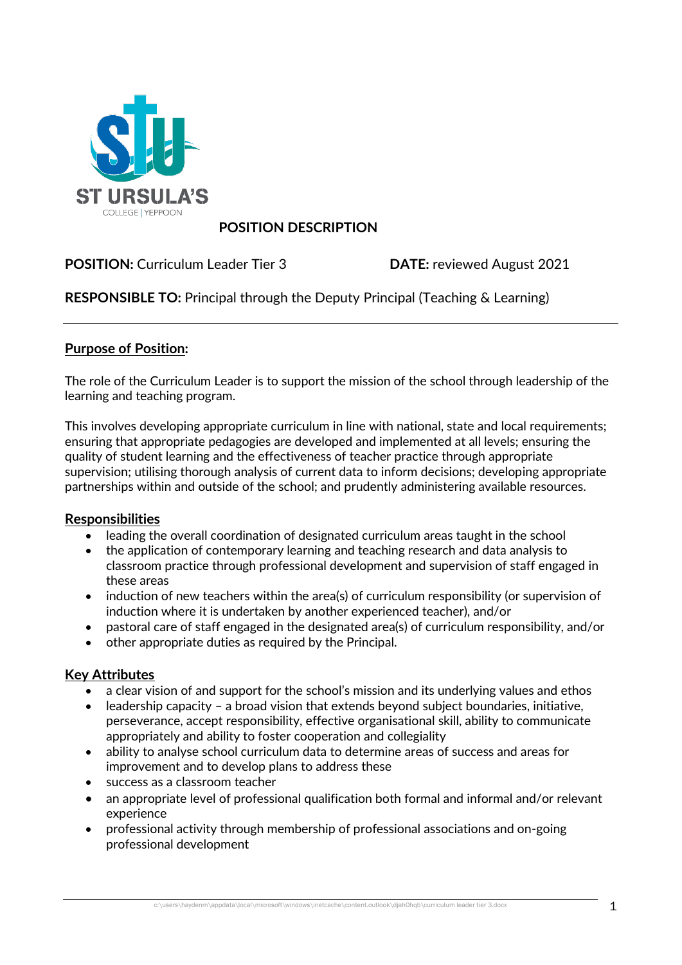

# **POSITION DESCRIPTION**

**POSITION:** Curriculum Leader Tier 3 **DATE:** reviewed August 2021

**RESPONSIBLE TO:** Principal through the Deputy Principal (Teaching & Learning)

## **Purpose of Position:**

The role of the Curriculum Leader is to support the mission of the school through leadership of the learning and teaching program.

This involves developing appropriate curriculum in line with national, state and local requirements; ensuring that appropriate pedagogies are developed and implemented at all levels; ensuring the quality of student learning and the effectiveness of teacher practice through appropriate supervision; utilising thorough analysis of current data to inform decisions; developing appropriate partnerships within and outside of the school; and prudently administering available resources.

### **Responsibilities**

- leading the overall coordination of designated curriculum areas taught in the school
- the application of contemporary learning and teaching research and data analysis to classroom practice through professional development and supervision of staff engaged in these areas
- induction of new teachers within the area(s) of curriculum responsibility (or supervision of induction where it is undertaken by another experienced teacher), and/or
- pastoral care of staff engaged in the designated area(s) of curriculum responsibility, and/or
- other appropriate duties as required by the Principal.

### **Key Attributes**

- a clear vision of and support for the school's mission and its underlying values and ethos
- leadership capacity a broad vision that extends beyond subject boundaries, initiative, perseverance, accept responsibility, effective organisational skill, ability to communicate appropriately and ability to foster cooperation and collegiality
- ability to analyse school curriculum data to determine areas of success and areas for improvement and to develop plans to address these
- success as a classroom teacher
- an appropriate level of professional qualification both formal and informal and/or relevant experience
- professional activity through membership of professional associations and on-going professional development